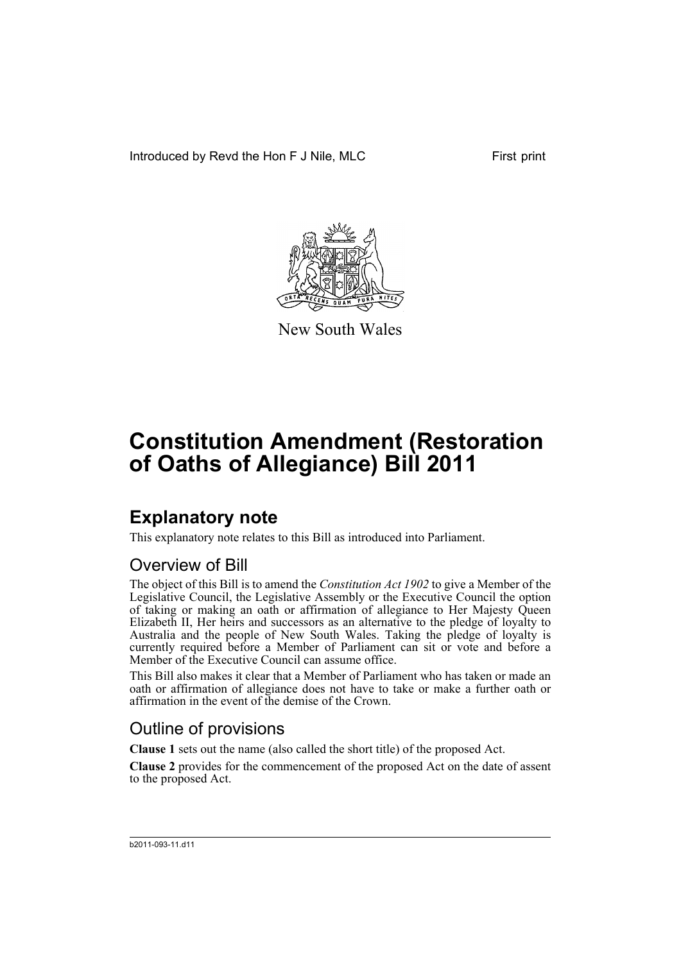Introduced by Revd the Hon F J Nile, MLC First print



New South Wales

# **Constitution Amendment (Restoration of Oaths of Allegiance) Bill 2011**

## **Explanatory note**

This explanatory note relates to this Bill as introduced into Parliament.

### Overview of Bill

The object of this Bill is to amend the *Constitution Act 1902* to give a Member of the Legislative Council, the Legislative Assembly or the Executive Council the option of taking or making an oath or affirmation of allegiance to Her Majesty Queen Elizabeth II, Her heirs and successors as an alternative to the pledge of loyalty to Australia and the people of New South Wales. Taking the pledge of loyalty is currently required before a Member of Parliament can sit or vote and before a Member of the Executive Council can assume office.

This Bill also makes it clear that a Member of Parliament who has taken or made an oath or affirmation of allegiance does not have to take or make a further oath or affirmation in the event of the demise of the Crown.

### Outline of provisions

**Clause 1** sets out the name (also called the short title) of the proposed Act.

**Clause 2** provides for the commencement of the proposed Act on the date of assent to the proposed Act.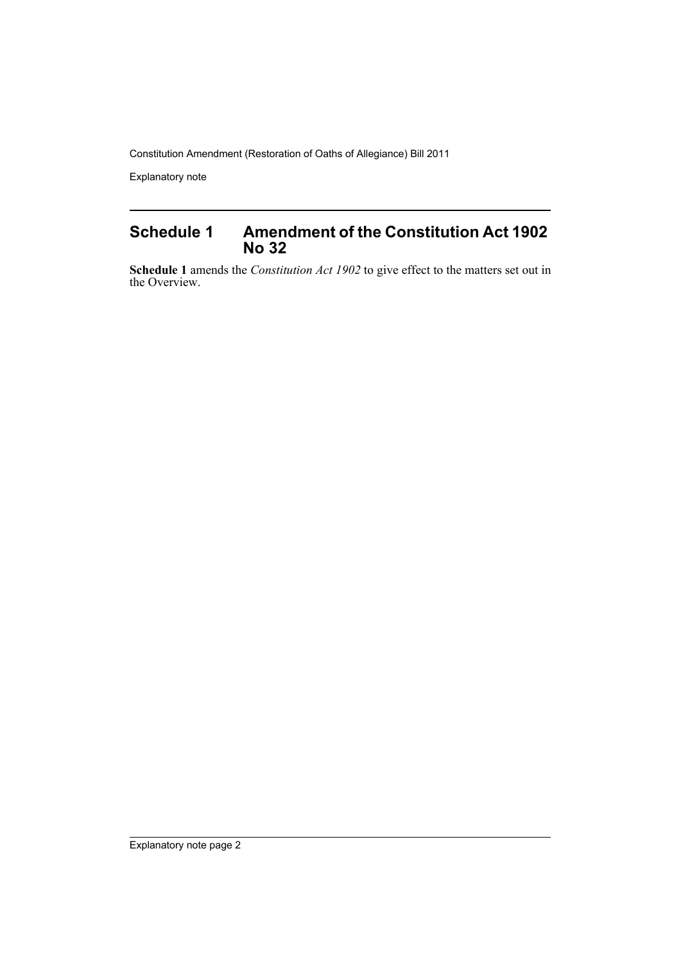Constitution Amendment (Restoration of Oaths of Allegiance) Bill 2011

Explanatory note

#### **Schedule 1 Amendment of the Constitution Act 1902 No 32**

**Schedule 1** amends the *Constitution Act 1902* to give effect to the matters set out in the Overview.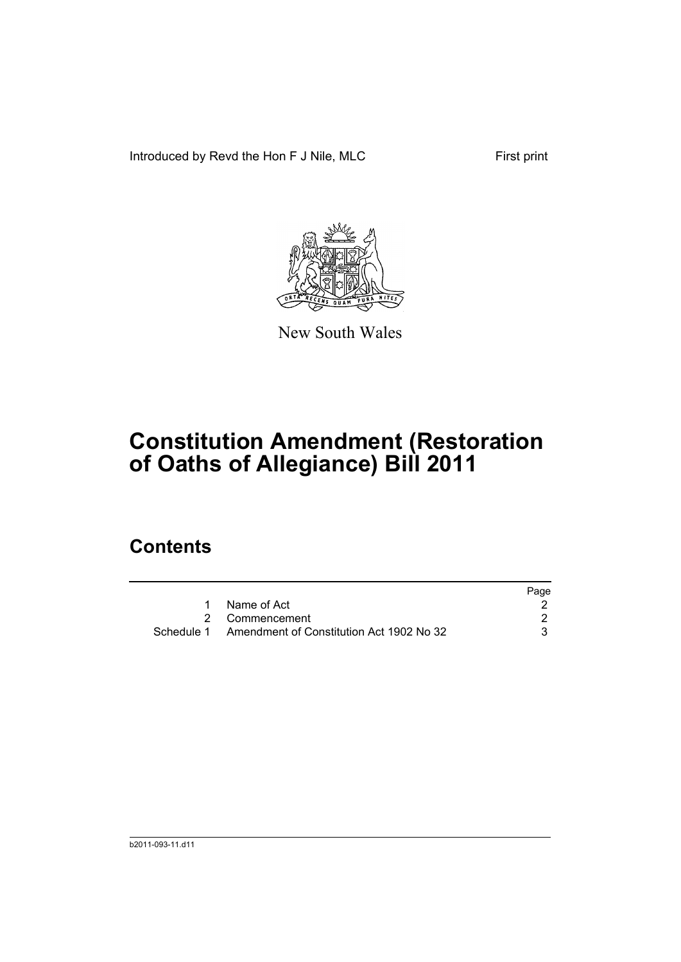Introduced by Revd the Hon F J Nile, MLC First print



New South Wales

# **Constitution Amendment (Restoration of Oaths of Allegiance) Bill 2011**

## **Contents**

|                                                     | Page |
|-----------------------------------------------------|------|
| Name of Act                                         |      |
| 2 Commencement                                      |      |
| Schedule 1 Amendment of Constitution Act 1902 No 32 |      |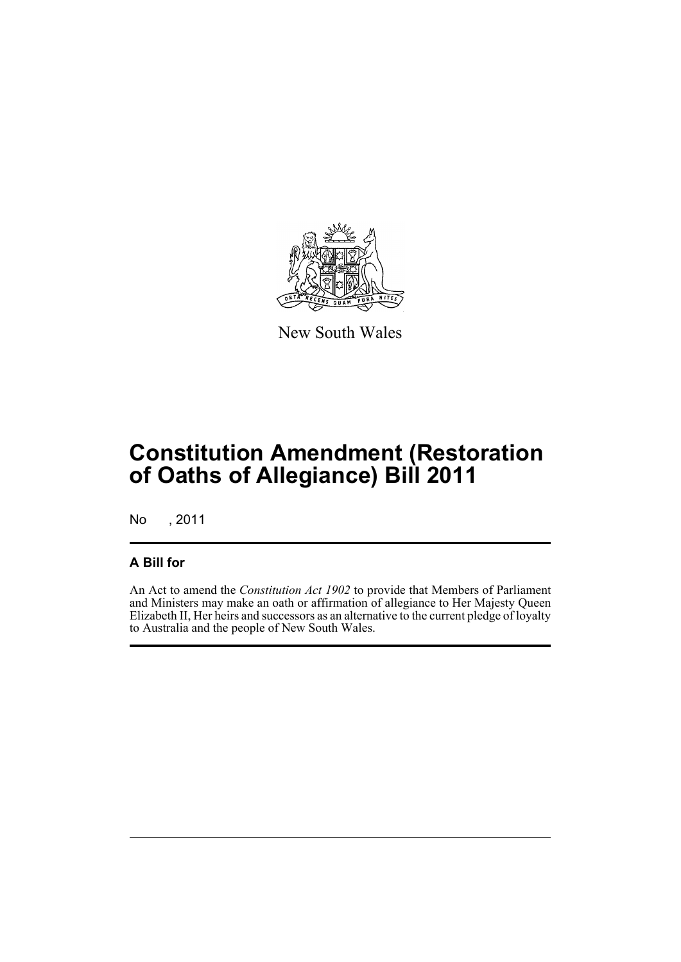

New South Wales

## **Constitution Amendment (Restoration of Oaths of Allegiance) Bill 2011**

No , 2011

#### **A Bill for**

An Act to amend the *Constitution Act 1902* to provide that Members of Parliament and Ministers may make an oath or affirmation of allegiance to Her Majesty Queen Elizabeth II, Her heirs and successors as an alternative to the current pledge of loyalty to Australia and the people of New South Wales.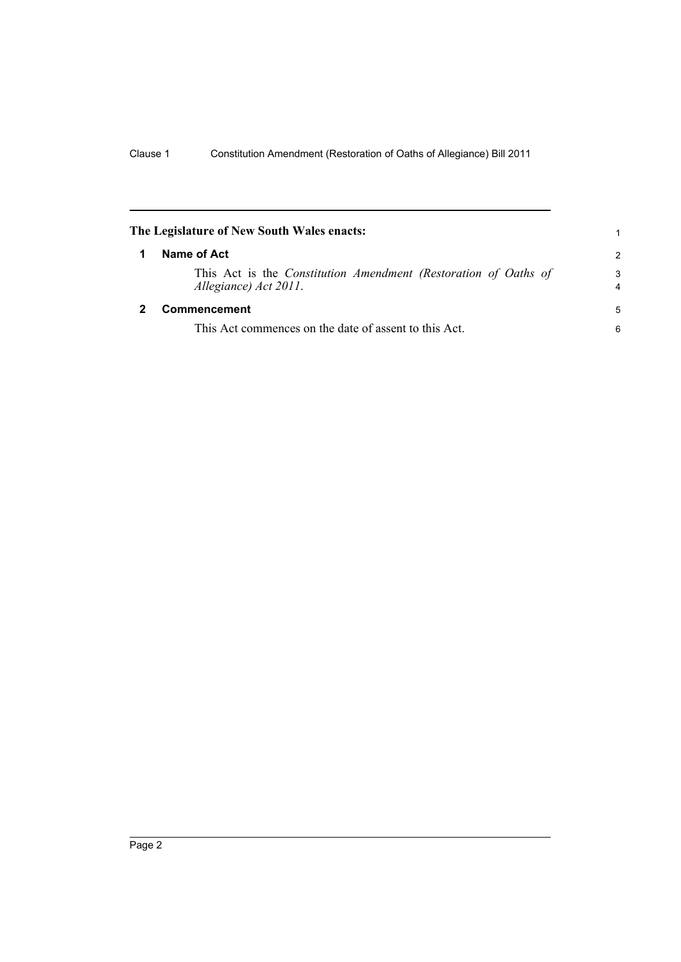<span id="page-5-1"></span><span id="page-5-0"></span>

| The Legislature of New South Wales enacts: |                                                                                          | 1                   |
|--------------------------------------------|------------------------------------------------------------------------------------------|---------------------|
|                                            | Name of Act                                                                              | $\mathcal{P}$       |
|                                            | This Act is the Constitution Amendment (Restoration of Oaths of<br>Allegiance) Act 2011. | 3<br>$\overline{4}$ |
|                                            | <b>Commencement</b>                                                                      | 5                   |
|                                            | This Act commences on the date of assent to this Act.                                    | 6                   |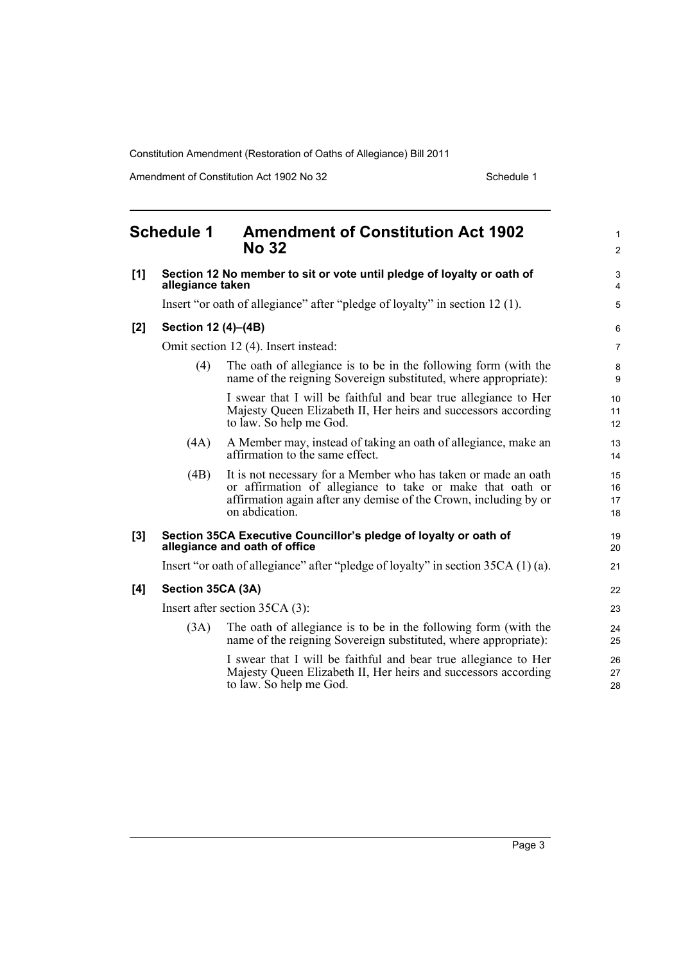Constitution Amendment (Restoration of Oaths of Allegiance) Bill 2011

Amendment of Constitution Act 1902 No 32 Schedule 1

<span id="page-6-0"></span>

|     | <b>Schedule 1</b>   | <b>Amendment of Constitution Act 1902</b><br><b>No 32</b>                                                                                                                                                         | $\mathbf{1}$<br>$\overline{2}$ |
|-----|---------------------|-------------------------------------------------------------------------------------------------------------------------------------------------------------------------------------------------------------------|--------------------------------|
| [1] | allegiance taken    | Section 12 No member to sit or vote until pledge of loyalty or oath of                                                                                                                                            | 3<br>4                         |
|     |                     | Insert "or oath of allegiance" after "pledge of loyalty" in section 12 (1).                                                                                                                                       | $\sqrt{5}$                     |
| [2] | Section 12 (4)-(4B) |                                                                                                                                                                                                                   | 6                              |
|     |                     | Omit section 12 (4). Insert instead:                                                                                                                                                                              | $\overline{7}$                 |
|     | (4)                 | The oath of allegiance is to be in the following form (with the<br>name of the reigning Sovereign substituted, where appropriate):                                                                                | 8<br>9                         |
|     |                     | I swear that I will be faithful and bear true allegiance to Her<br>Majesty Queen Elizabeth II, Her heirs and successors according<br>to law. So help me God.                                                      | 10<br>11<br>12                 |
|     | (4A)                | A Member may, instead of taking an oath of allegiance, make an<br>affirmation to the same effect.                                                                                                                 | 13<br>14                       |
|     | (4B)                | It is not necessary for a Member who has taken or made an oath<br>or affirmation of allegiance to take or make that oath or<br>affirmation again after any demise of the Crown, including by or<br>on abdication. | 15<br>16<br>17<br>18           |
| [3] |                     | Section 35CA Executive Councillor's pledge of loyalty or oath of<br>allegiance and oath of office                                                                                                                 | 19<br>20                       |
|     |                     | Insert "or oath of allegiance" after "pledge of loyalty" in section 35CA (1)(a).                                                                                                                                  | 21                             |
| [4] | Section 35CA (3A)   |                                                                                                                                                                                                                   | 22                             |
|     |                     | Insert after section 35CA (3):                                                                                                                                                                                    | 23                             |
|     | (3A)                | The oath of allegiance is to be in the following form (with the<br>name of the reigning Sovereign substituted, where appropriate):                                                                                | 24<br>25                       |
|     |                     | I swear that I will be faithful and bear true allegiance to Her<br>Majesty Queen Elizabeth II, Her heirs and successors according<br>to law. So help me God.                                                      | 26<br>27<br>28                 |